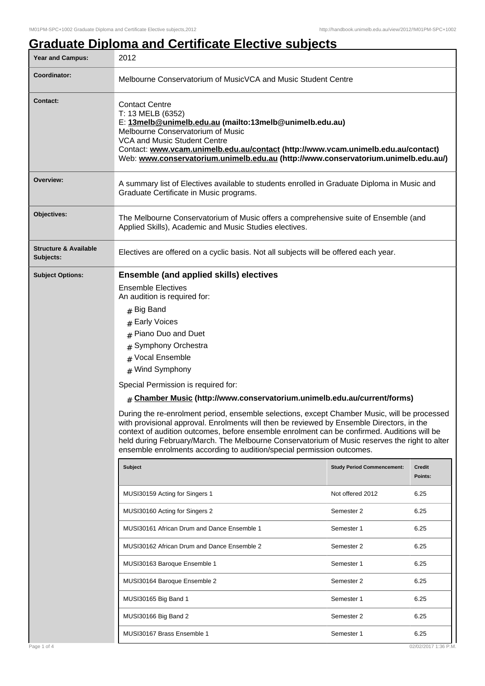## **Graduate Diploma and Certificate Elective subjects**

| <b>Year and Campus:</b>                       | 2012                                                                                                                                                                                                                                                                                                                                                                                                                                                                                                                                              |                                   |                              |  |  |
|-----------------------------------------------|---------------------------------------------------------------------------------------------------------------------------------------------------------------------------------------------------------------------------------------------------------------------------------------------------------------------------------------------------------------------------------------------------------------------------------------------------------------------------------------------------------------------------------------------------|-----------------------------------|------------------------------|--|--|
| Coordinator:                                  | Melbourne Conservatorium of MusicVCA and Music Student Centre                                                                                                                                                                                                                                                                                                                                                                                                                                                                                     |                                   |                              |  |  |
| <b>Contact:</b>                               | <b>Contact Centre</b><br>T: 13 MELB (6352)<br>E: 13melb@unimelb.edu.au (mailto:13melb@unimelb.edu.au)<br>Melbourne Conservatorium of Music<br>VCA and Music Student Centre<br>Contact: www.vcam.unimelb.edu.au/contact (http://www.vcam.unimelb.edu.au/contact)<br>Web: www.conservatorium.unimelb.edu.au (http://www.conservatorium.unimelb.edu.au/)                                                                                                                                                                                             |                                   |                              |  |  |
| Overview:                                     | A summary list of Electives available to students enrolled in Graduate Diploma in Music and<br>Graduate Certificate in Music programs.                                                                                                                                                                                                                                                                                                                                                                                                            |                                   |                              |  |  |
| Objectives:                                   | The Melbourne Conservatorium of Music offers a comprehensive suite of Ensemble (and<br>Applied Skills), Academic and Music Studies electives.                                                                                                                                                                                                                                                                                                                                                                                                     |                                   |                              |  |  |
| <b>Structure &amp; Available</b><br>Subjects: | Electives are offered on a cyclic basis. Not all subjects will be offered each year.                                                                                                                                                                                                                                                                                                                                                                                                                                                              |                                   |                              |  |  |
| <b>Subject Options:</b>                       | <b>Ensemble (and applied skills) electives</b><br><b>Ensemble Electives</b><br>An audition is required for:                                                                                                                                                                                                                                                                                                                                                                                                                                       |                                   |                              |  |  |
|                                               |                                                                                                                                                                                                                                                                                                                                                                                                                                                                                                                                                   |                                   |                              |  |  |
|                                               | $#$ Big Band<br># Early Voices<br># Piano Duo and Duet<br>Symphony Orchestra<br>#<br>Vocal Ensemble<br>#<br># Wind Symphony                                                                                                                                                                                                                                                                                                                                                                                                                       |                                   |                              |  |  |
|                                               | Special Permission is required for:                                                                                                                                                                                                                                                                                                                                                                                                                                                                                                               |                                   |                              |  |  |
|                                               | $#$ Chamber Music (http://www.conservatorium.unimelb.edu.au/current/forms)<br>During the re-enrolment period, ensemble selections, except Chamber Music, will be processed<br>with provisional approval. Enrolments will then be reviewed by Ensemble Directors, in the<br>context of audition outcomes, before ensemble enrolment can be confirmed. Auditions will be<br>held during February/March. The Melbourne Conservatorium of Music reserves the right to alter<br>ensemble enrolments according to audition/special permission outcomes. |                                   |                              |  |  |
|                                               | Subject                                                                                                                                                                                                                                                                                                                                                                                                                                                                                                                                           | <b>Study Period Commencement:</b> | <b>Credit</b><br>Points:     |  |  |
|                                               | MUSI30159 Acting for Singers 1                                                                                                                                                                                                                                                                                                                                                                                                                                                                                                                    | Not offered 2012                  | 6.25                         |  |  |
|                                               | MUSI30160 Acting for Singers 2                                                                                                                                                                                                                                                                                                                                                                                                                                                                                                                    | Semester 2                        | 6.25                         |  |  |
|                                               | MUSI30161 African Drum and Dance Ensemble 1                                                                                                                                                                                                                                                                                                                                                                                                                                                                                                       | Semester 1                        | 6.25                         |  |  |
|                                               | MUSI30162 African Drum and Dance Ensemble 2                                                                                                                                                                                                                                                                                                                                                                                                                                                                                                       | Semester 2                        | 6.25                         |  |  |
|                                               | MUSI30163 Baroque Ensemble 1                                                                                                                                                                                                                                                                                                                                                                                                                                                                                                                      | Semester 1                        | 6.25                         |  |  |
|                                               | MUSI30164 Baroque Ensemble 2                                                                                                                                                                                                                                                                                                                                                                                                                                                                                                                      | Semester 2                        | 6.25                         |  |  |
|                                               | MUSI30165 Big Band 1                                                                                                                                                                                                                                                                                                                                                                                                                                                                                                                              | Semester 1                        | 6.25                         |  |  |
|                                               | MUSI30166 Big Band 2                                                                                                                                                                                                                                                                                                                                                                                                                                                                                                                              | Semester 2                        | 6.25                         |  |  |
| Page 1 of 4                                   | MUSI30167 Brass Ensemble 1                                                                                                                                                                                                                                                                                                                                                                                                                                                                                                                        | Semester 1                        | 6.25<br>02/02/2017 1:36 P.M. |  |  |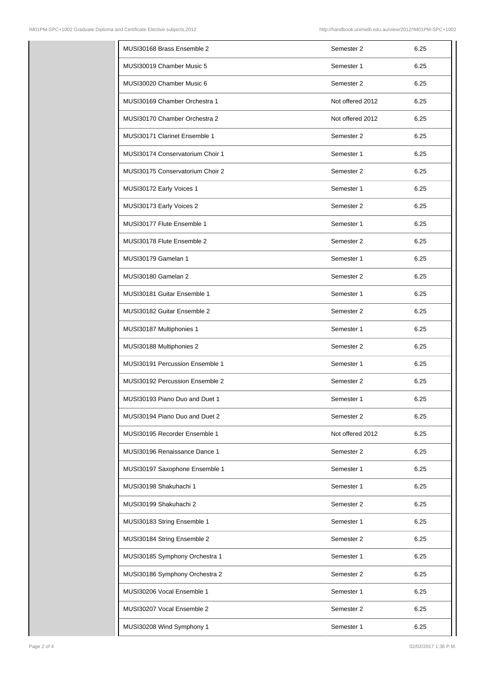| MUSI30168 Brass Ensemble 2       | Semester 2       | 6.25 |
|----------------------------------|------------------|------|
| MUSI30019 Chamber Music 5        | Semester 1       | 6.25 |
| MUSI30020 Chamber Music 6        | Semester 2       | 6.25 |
| MUSI30169 Chamber Orchestra 1    | Not offered 2012 | 6.25 |
| MUSI30170 Chamber Orchestra 2    | Not offered 2012 | 6.25 |
| MUSI30171 Clarinet Ensemble 1    | Semester 2       | 6.25 |
| MUSI30174 Conservatorium Choir 1 | Semester 1       | 6.25 |
| MUSI30175 Conservatorium Choir 2 | Semester 2       | 6.25 |
| MUSI30172 Early Voices 1         | Semester 1       | 6.25 |
| MUSI30173 Early Voices 2         | Semester 2       | 6.25 |
| MUSI30177 Flute Ensemble 1       | Semester 1       | 6.25 |
| MUSI30178 Flute Ensemble 2       | Semester 2       | 6.25 |
| MUSI30179 Gamelan 1              | Semester 1       | 6.25 |
| MUSI30180 Gamelan 2              | Semester 2       | 6.25 |
| MUSI30181 Guitar Ensemble 1      | Semester 1       | 6.25 |
| MUSI30182 Guitar Ensemble 2      | Semester 2       | 6.25 |
| MUSI30187 Multiphonies 1         | Semester 1       | 6.25 |
| MUSI30188 Multiphonies 2         | Semester 2       | 6.25 |
| MUSI30191 Percussion Ensemble 1  | Semester 1       | 6.25 |
| MUSI30192 Percussion Ensemble 2  | Semester 2       | 6.25 |
| MUSI30193 Piano Duo and Duet 1   | Semester 1       | 6.25 |
| MUSI30194 Piano Duo and Duet 2   | Semester 2       | 6.25 |
| MUSI30195 Recorder Ensemble 1    | Not offered 2012 | 6.25 |
| MUSI30196 Renaissance Dance 1    | Semester 2       | 6.25 |
| MUSI30197 Saxophone Ensemble 1   | Semester 1       | 6.25 |
| MUSI30198 Shakuhachi 1           | Semester 1       | 6.25 |
| MUSI30199 Shakuhachi 2           | Semester 2       | 6.25 |
| MUSI30183 String Ensemble 1      | Semester 1       | 6.25 |
| MUSI30184 String Ensemble 2      | Semester 2       | 6.25 |
| MUSI30185 Symphony Orchestra 1   | Semester 1       | 6.25 |
| MUSI30186 Symphony Orchestra 2   | Semester 2       | 6.25 |
| MUSI30206 Vocal Ensemble 1       | Semester 1       | 6.25 |
| MUSI30207 Vocal Ensemble 2       | Semester 2       | 6.25 |
| MUSI30208 Wind Symphony 1        | Semester 1       | 6.25 |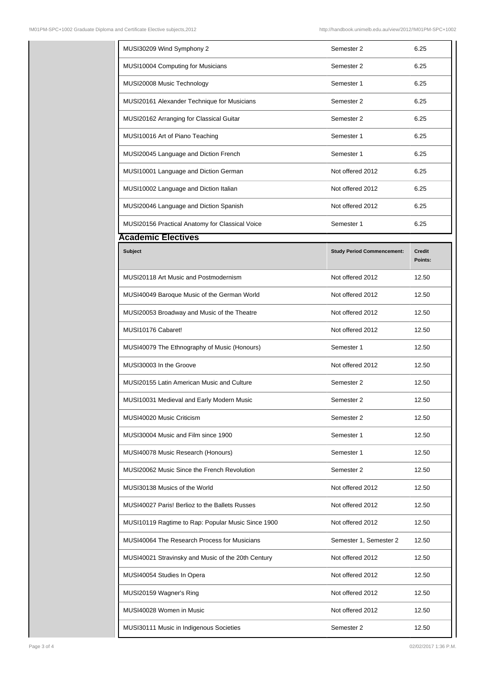| MUSI30209 Wind Symphony 2                          | Semester 2                        | 6.25                     |
|----------------------------------------------------|-----------------------------------|--------------------------|
| MUSI10004 Computing for Musicians                  | Semester 2                        | 6.25                     |
| MUSI20008 Music Technology                         | Semester 1                        | 6.25                     |
| MUSI20161 Alexander Technique for Musicians        | Semester 2                        | 6.25                     |
| MUSI20162 Arranging for Classical Guitar           | Semester 2                        | 6.25                     |
| MUSI10016 Art of Piano Teaching                    | Semester 1                        | 6.25                     |
| MUSI20045 Language and Diction French              | Semester 1                        | 6.25                     |
| MUSI10001 Language and Diction German              | Not offered 2012                  | 6.25                     |
| MUSI10002 Language and Diction Italian             | Not offered 2012                  | 6.25                     |
| MUSI20046 Language and Diction Spanish             | Not offered 2012                  | 6.25                     |
| MUSI20156 Practical Anatomy for Classical Voice    | Semester 1                        | 6.25                     |
| <b>Academic Electives</b>                          |                                   |                          |
| <b>Subject</b>                                     | <b>Study Period Commencement:</b> | <b>Credit</b><br>Points: |
| MUSI20118 Art Music and Postmodernism              | Not offered 2012                  | 12.50                    |
| MUSI40049 Baroque Music of the German World        | Not offered 2012                  | 12.50                    |
| MUSI20053 Broadway and Music of the Theatre        | Not offered 2012                  | 12.50                    |
| MUSI10176 Cabaret!                                 | Not offered 2012                  | 12.50                    |
| MUSI40079 The Ethnography of Music (Honours)       | Semester 1                        | 12.50                    |
| MUSI30003 In the Groove                            | Not offered 2012                  | 12.50                    |
| <b>MUSI20155 Latin American Music and Culture</b>  | Semester 2                        | 12.50                    |
| MUSI10031 Medieval and Early Modern Music          | Semester 2                        | 12.50                    |
| MUSI40020 Music Criticism                          | Semester 2                        | 12.50                    |
| MUSI30004 Music and Film since 1900                | Semester 1                        | 12.50                    |
| MUSI40078 Music Research (Honours)                 | Semester 1                        | 12.50                    |
| MUSI20062 Music Since the French Revolution        | Semester 2                        | 12.50                    |
| MUSI30138 Musics of the World                      | Not offered 2012                  | 12.50                    |
| MUSI40027 Paris! Berlioz to the Ballets Russes     | Not offered 2012                  | 12.50                    |
| MUSI10119 Ragtime to Rap: Popular Music Since 1900 | Not offered 2012                  | 12.50                    |
| MUSI40064 The Research Process for Musicians       | Semester 1, Semester 2            | 12.50                    |
| MUSI40021 Stravinsky and Music of the 20th Century | Not offered 2012                  | 12.50                    |
| MUSI40054 Studies In Opera                         | Not offered 2012                  | 12.50                    |
| MUSI20159 Wagner's Ring                            | Not offered 2012                  | 12.50                    |
|                                                    |                                   |                          |
| MUSI40028 Women in Music                           | Not offered 2012                  | 12.50                    |